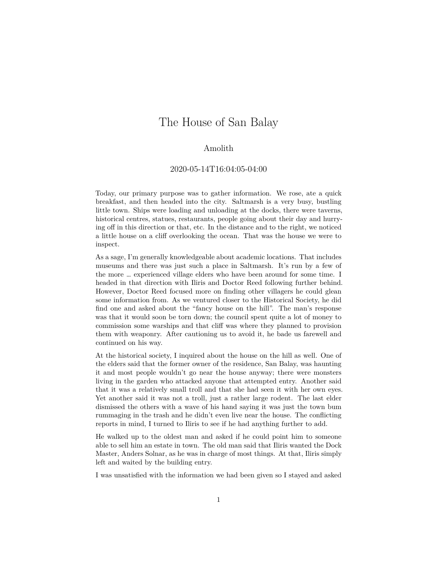## The House of San Balay

## Amolith

## 2020-05-14T16:04:05-04:00

Today, our primary purpose was to gather information. We rose, ate a quick breakfast, and then headed into the city. Saltmarsh is a very busy, bustling little town. Ships were loading and unloading at the docks, there were taverns, historical centres, statues, restaurants, people going about their day and hurrying off in this direction or that, etc. In the distance and to the right, we noticed a little house on a cliff overlooking the ocean. That was the house we were to inspect.

As a sage, I'm generally knowledgeable about academic locations. That includes museums and there was just such a place in Saltmarsh. It's run by a few of the more … experienced village elders who have been around for some time. I headed in that direction with Iliris and Doctor Reed following further behind. However, Doctor Reed focused more on finding other villagers he could glean some information from. As we ventured closer to the Historical Society, he did find one and asked about the "fancy house on the hill". The man's response was that it would soon be torn down; the council spent quite a lot of money to commission some warships and that cliff was where they planned to provision them with weaponry. After cautioning us to avoid it, he bade us farewell and continued on his way.

At the historical society, I inquired about the house on the hill as well. One of the elders said that the former owner of the residence, San Balay, was haunting it and most people wouldn't go near the house anyway; there were monsters living in the garden who attacked anyone that attempted entry. Another said that it was a relatively small troll and that she had seen it with her own eyes. Yet another said it was not a troll, just a rather large rodent. The last elder dismissed the others with a wave of his hand saying it was just the town bum rummaging in the trash and he didn't even live near the house. The conflicting reports in mind, I turned to Iliris to see if he had anything further to add.

He walked up to the oldest man and asked if he could point him to someone able to sell him an estate in town. The old man said that Iliris wanted the Dock Master, Anders Solnar, as he was in charge of most things. At that, Iliris simply left and waited by the building entry.

I was unsatisfied with the information we had been given so I stayed and asked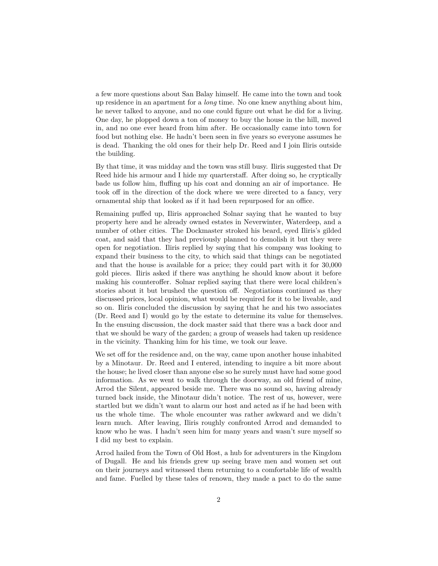a few more questions about San Balay himself. He came into the town and took up residence in an apartment for a *long* time. No one knew anything about him, he never talked to anyone, and no one could figure out what he did for a living. One day, he plopped down a ton of money to buy the house in the hill, moved in, and no one ever heard from him after. He occasionally came into town for food but nothing else. He hadn't been seen in five years so everyone assumes he is dead. Thanking the old ones for their help Dr. Reed and I join Iliris outside the building.

By that time, it was midday and the town was still busy. Iliris suggested that Dr Reed hide his armour and I hide my quarterstaff. After doing so, he cryptically bade us follow him, fluffing up his coat and donning an air of importance. He took off in the direction of the dock where we were directed to a fancy, very ornamental ship that looked as if it had been repurposed for an office.

Remaining puffed up, Iliris approached Solnar saying that he wanted to buy property here and he already owned estates in Neverwinter, Waterdeep, and a number of other cities. The Dockmaster stroked his beard, eyed Iliris's gilded coat, and said that they had previously planned to demolish it but they were open for negotiation. Iliris replied by saying that his company was looking to expand their business to the city, to which said that things can be negotiated and that the house is available for a price; they could part with it for 30,000 gold pieces. Iliris asked if there was anything he should know about it before making his counteroffer. Solnar replied saying that there were local children's stories about it but brushed the question off. Negotiations continued as they discussed prices, local opinion, what would be required for it to be liveable, and so on. Iliris concluded the discussion by saying that he and his two associates (Dr. Reed and I) would go by the estate to determine its value for themselves. In the ensuing discussion, the dock master said that there was a back door and that we should be wary of the garden; a group of weasels had taken up residence in the vicinity. Thanking him for his time, we took our leave.

We set off for the residence and, on the way, came upon another house inhabited by a Minotaur. Dr. Reed and I entered, intending to inquire a bit more about the house; he lived closer than anyone else so he surely must have had some good information. As we went to walk through the doorway, an old friend of mine, Arrod the Silent, appeared beside me. There was no sound so, having already turned back inside, the Minotaur didn't notice. The rest of us, however, were startled but we didn't want to alarm our host and acted as if he had been with us the whole time. The whole encounter was rather awkward and we didn't learn much. After leaving, Iliris roughly confronted Arrod and demanded to know who he was. I hadn't seen him for many years and wasn't sure myself so I did my best to explain.

Arrod hailed from the Town of Old Host, a hub for adventurers in the Kingdom of Dugall. He and his friends grew up seeing brave men and women set out on their journeys and witnessed them returning to a comfortable life of wealth and fame. Fuelled by these tales of renown, they made a pact to do the same